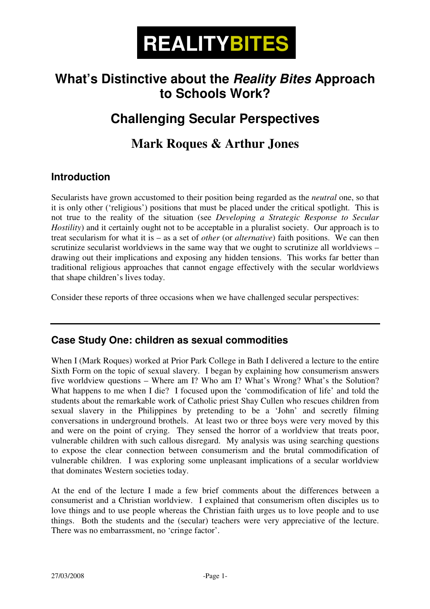# Ξ **REALITYBITES**

## **What's Distinctive about the Reality Bites Approach to Schools Work?**

# **Challenging Secular Perspectives**

### **Mark Roques & Arthur Jones**

### **Introduction**

Secularists have grown accustomed to their position being regarded as the *neutral* one, so that it is only other ('religious') positions that must be placed under the critical spotlight. This is not true to the reality of the situation (see *Developing a Strategic Response to Secular Hostility*) and it certainly ought not to be acceptable in a pluralist society. Our approach is to treat secularism for what it is – as a set of *other* (or *alternative*) faith positions. We can then scrutinize secularist worldviews in the same way that we ought to scrutinize all worldviews – drawing out their implications and exposing any hidden tensions. This works far better than traditional religious approaches that cannot engage effectively with the secular worldviews that shape children's lives today.

Consider these reports of three occasions when we have challenged secular perspectives:

#### **Case Study One: children as sexual commodities**

When I (Mark Roques) worked at Prior Park College in Bath I delivered a lecture to the entire Sixth Form on the topic of sexual slavery. I began by explaining how consumerism answers five worldview questions – Where am I? Who am I? What's Wrong? What's the Solution? What happens to me when I die? I focused upon the 'commodification of life' and told the students about the remarkable work of Catholic priest Shay Cullen who rescues children from sexual slavery in the Philippines by pretending to be a 'John' and secretly filming conversations in underground brothels. At least two or three boys were very moved by this and were on the point of crying. They sensed the horror of a worldview that treats poor, vulnerable children with such callous disregard. My analysis was using searching questions to expose the clear connection between consumerism and the brutal commodification of vulnerable children. I was exploring some unpleasant implications of a secular worldview that dominates Western societies today.

At the end of the lecture I made a few brief comments about the differences between a consumerist and a Christian worldview. I explained that consumerism often disciples us to love things and to use people whereas the Christian faith urges us to love people and to use things. Both the students and the (secular) teachers were very appreciative of the lecture. There was no embarrassment, no 'cringe factor'.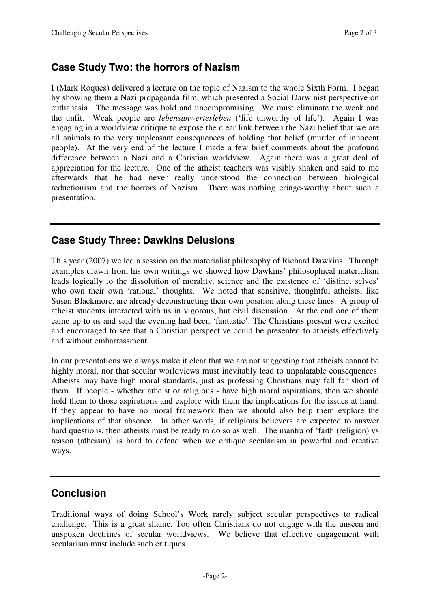### **Case Study Two: the horrors of Nazism**

I (Mark Roques) delivered a lecture on the topic of Nazism to the whole Sixth Form. I began by showing them a Nazi propaganda film, which presented a Social Darwinist perspective on euthanasia. The message was bold and uncompromising. We must eliminate the weak and the unfit. Weak people are *lebensunwertesleben* ('life unworthy of life'). Again I was engaging in a worldview critique to expose the clear link between the Nazi belief that we are all animals to the very unpleasant consequences of holding that belief (murder of innocent people). At the very end of the lecture I made a few brief comments about the profound difference between a Nazi and a Christian worldview. Again there was a great deal of appreciation for the lecture. One of the atheist teachers was visibly shaken and said to me afterwards that he had never really understood the connection between biological reductionism and the horrors of Nazism. There was nothing cringe-worthy about such a presentation.

#### **Case Study Three: Dawkins Delusions**

This year (2007) we led a session on the materialist philosophy of Richard Dawkins. Through examples drawn from his own writings we showed how Dawkins' philosophical materialism leads logically to the dissolution of morality, science and the existence of 'distinct selves' who own their own 'rational' thoughts. We noted that sensitive, thoughtful atheists, like Susan Blackmore, are already deconstructing their own position along these lines. A group of atheist students interacted with us in vigorous, but civil discussion. At the end one of them came up to us and said the evening had been 'fantastic'. The Christians present were excited and encouraged to see that a Christian perspective could be presented to atheists effectively and without embarrassment.

In our presentations we always make it clear that we are not suggesting that atheists cannot be highly moral, nor that secular worldviews must inevitably lead to unpalatable consequences. Atheists may have high moral standards, just as professing Christians may fall far short of them. If people - whether atheist or religious - have high moral aspirations, then we should hold them to those aspirations and explore with them the implications for the issues at hand. If they appear to have no moral framework then we should also help them explore the implications of that absence. In other words, if religious believers are expected to answer hard questions, then atheists must be ready to do so as well. The mantra of 'faith (religion) vs reason (atheism)' is hard to defend when we critique secularism in powerful and creative ways.

### **Conclusion**

Traditional ways of doing School's Work rarely subject secular perspectives to radical challenge. This is a great shame. Too often Christians do not engage with the unseen and unspoken doctrines of secular worldviews. We believe that effective engagement with secularism must include such critiques.